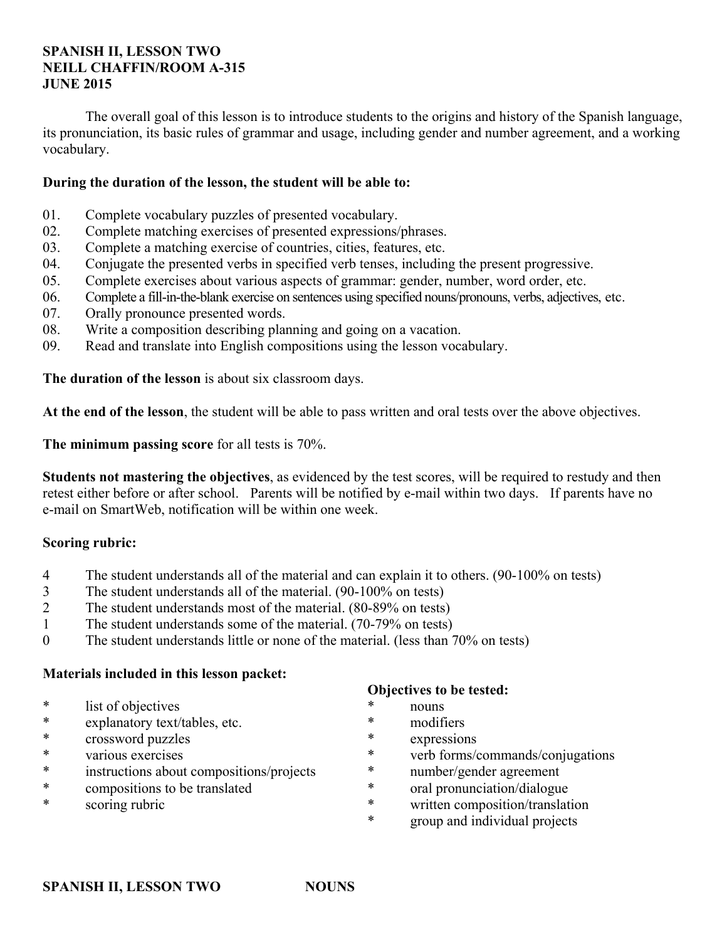### **SPANISH II, LESSON TWO NEILL CHAFFIN/ROOM A-315 JUNE 2015**

 The overall goal of this lesson is to introduce students to the origins and history of the Spanish language, its pronunciation, its basic rules of grammar and usage, including gender and number agreement, and a working vocabulary.

### **During the duration of the lesson, the student will be able to:**

- 01. Complete vocabulary puzzles of presented vocabulary.
- 02. Complete matching exercises of presented expressions/phrases.
- 03. Complete a matching exercise of countries, cities, features, etc.
- 04. Conjugate the presented verbs in specified verb tenses, including the present progressive.
- 05. Complete exercises about various aspects of grammar: gender, number, word order, etc.
- 06. Complete a fill-in-the-blank exercise on sentences using specified nouns/pronouns, verbs, adjectives, etc.
- 07. Orally pronounce presented words.
- 08. Write a composition describing planning and going on a vacation.
- 09. Read and translate into English compositions using the lesson vocabulary.

**The duration of the lesson** is about six classroom days.

**At the end of the lesson**, the student will be able to pass written and oral tests over the above objectives.

**The minimum passing score** for all tests is 70%.

**Students not mastering the objectives**, as evidenced by the test scores, will be required to restudy and then retest either before or after school. Parents will be notified by e-mail within two days. If parents have no e-mail on SmartWeb, notification will be within one week.

## **Scoring rubric:**

- 4 The student understands all of the material and can explain it to others. (90-100% on tests)
- 3 The student understands all of the material. (90-100% on tests)
- 2 The student understands most of the material. (80-89% on tests)
- 1 The student understands some of the material. (70-79% on tests)
- 0 The student understands little or none of the material. (less than 70% on tests)

### **Materials included in this lesson packet:**

- \* list of objectives
- \* explanatory text/tables, etc.
- crossword puzzles
- \* various exercises
- \* instructions about compositions/projects
- \* compositions to be translated
- \* scoring rubric

### **Objectives to be tested:**

- nouns
- \* modifiers
- expressions
- \* verb forms/commands/conjugations
- \* number/gender agreement
- \* oral pronunciation/dialogue
- \* written composition/translation
- group and individual projects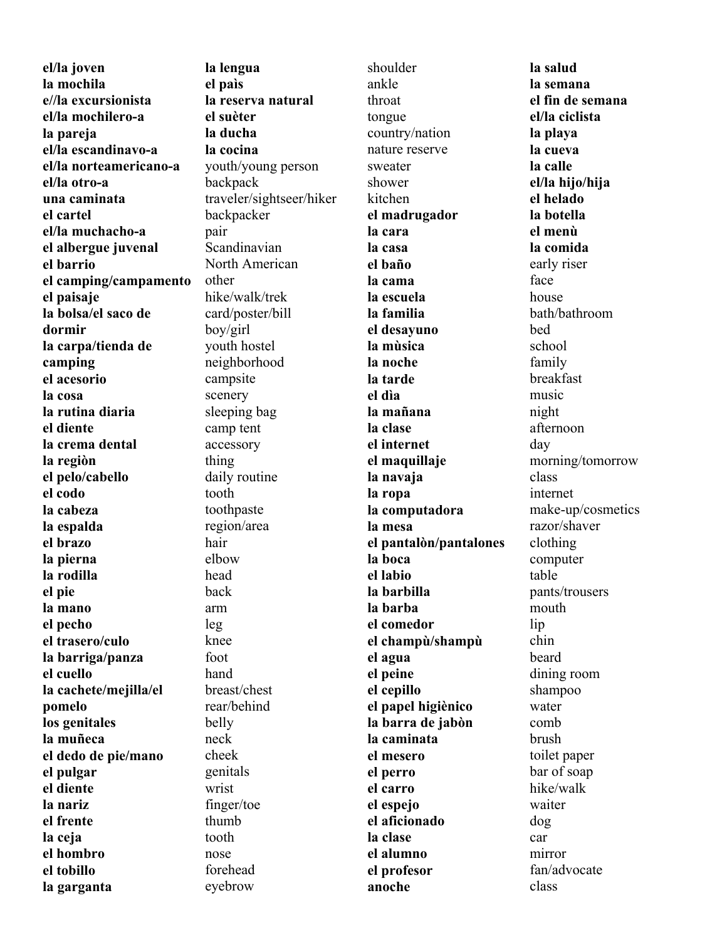**el/la joven la mochila e//la excursionista el/la mochilero-a la pareja el/la escandinavo-a el/la norteamericano-a el/la otro-a una caminata el cartel el/la muchacho-a el albergue juvenal el barrio el camping/campamento el paisaje la bolsa/el saco de dormir la carpa/tienda de camping el acesorio la cosa la rutina diaria el diente la crema dental la regiòn el pelo/cabello el codo la cabeza la espalda el brazo la pierna la rodilla el pie la mano el pecho el trasero/culo la barriga/panza el cuello la cachete/mejilla/el pomelo los genitales la muñeca el dedo de pie/mano el pulgar el diente la nariz el frente la ceja el hombro el tobillo la garganta** 

**la lengua el paìs la reserva natural el suèter la ducha la cocina**  youth/young person backpack traveler/sightseer/hiker backpacker pair Scandinavian North American other hike/walk/trek card/poster/bill boy/girl youth hostel neighborhood campsite scenery sleeping bag camp tent accessory thing daily routine tooth toothpaste region/area hair elbow head back arm leg knee foot hand breast/chest rear/behind belly neck cheek genitals wrist finger/toe thumb tooth nose forehead eyebrow

shoulder ankle throat tongue country/nation nature reserve sweater shower kitchen **el madrugador la cara la casa el baño la cama la escuela la familia el desayuno la mùsica la noche la tarde el dìa la mañana la clase el internet el maquillaje la navaja la ropa la computadora la mesa el pantalòn/pantalones la boca el labio la barbilla la barba el comedor el champù/shampù el agua el peine el cepillo el papel higiènico la barra de jabòn la caminata el mesero el perro el carro el espejo el aficionado la clase el alumno el profesor anoche** 

**la salud la semana el fin de semana el/la ciclista la playa la cueva la calle el/la hijo/hija el helado la botella el menù la comida** early riser face house bath/bathroom bed school family breakfast music night afternoon day morning/tomorrow class internet make-up/cosmetics razor/shaver clothing computer table pants/trousers mouth lip chin beard dining room shampoo water comb brush toilet paper bar of soap hike/walk waiter dog car mirror fan/advocate class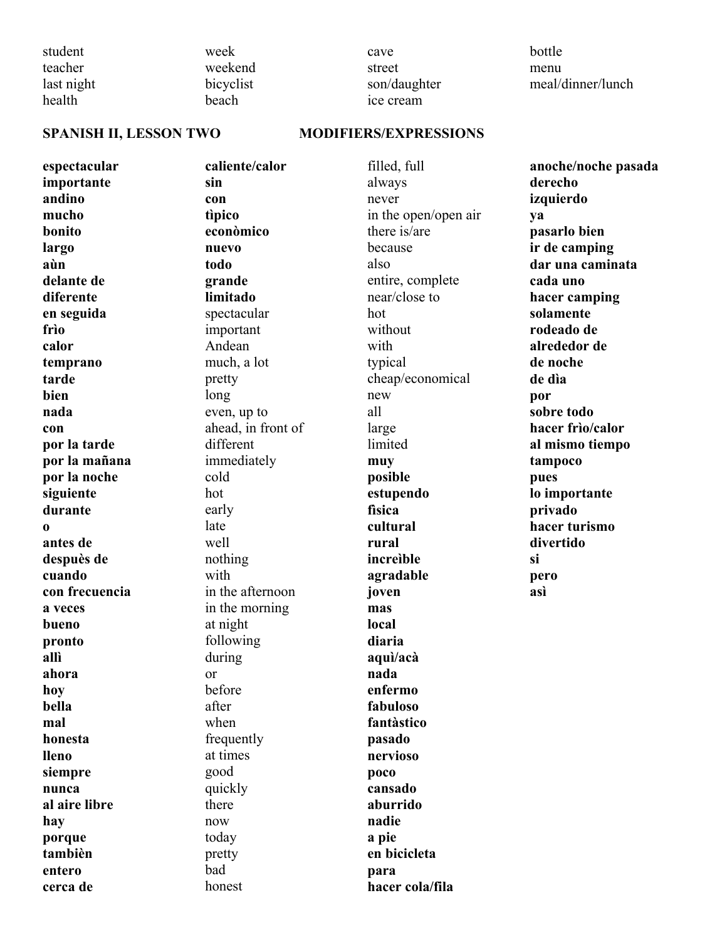student teacher last night health

week weekend bicyclist beach

cave street son/daughter ice cream

bottle menu meal/dinner/lunch

### SPANISH II, LESSON TWO MODIFIERS/EXPRESSIONS

**espectacular importante andino mucho bonito largo aùn delante de diferente en seguida frìo calor temprano tarde bien nada con por la tarde por la mañana por la noche siguiente durante o antes de despuès de cuando con frecuencia a veces bueno pronto allì ahora hoy bella mal honesta lleno siempre nunca al aire libre hay porque tambièn entero cerca de** 

**caliente/calor sin con tìpico econòmico nuevo todo grande limitado** spectacular important Andean much, a lot pretty long even, up to ahead, in front of different immediately cold hot early late well nothing with in the afternoon in the morning at night following during or before after when frequently at times good quickly there now today pretty bad honest

filled, full always never in the open/open air there is/are because also entire, complete near/close to hot without with typical cheap/economical new all large limited **muy posible estupendo fìsica cultural rural increìble agradable joven mas local diaria aquì/acà nada enfermo fabuloso fantàstico pasado nervioso poco cansado aburrido nadie a pie en bicicleta para hacer cola/fila** 

**anoche/noche pasada derecho izquierdo ya pasarlo bien ir de camping dar una caminata cada uno hacer camping solamente rodeado de alrededor de de noche de dìa por sobre todo hacer frìo/calor al mismo tiempo tampoco pues lo importante privado hacer turismo divertido si pero asì**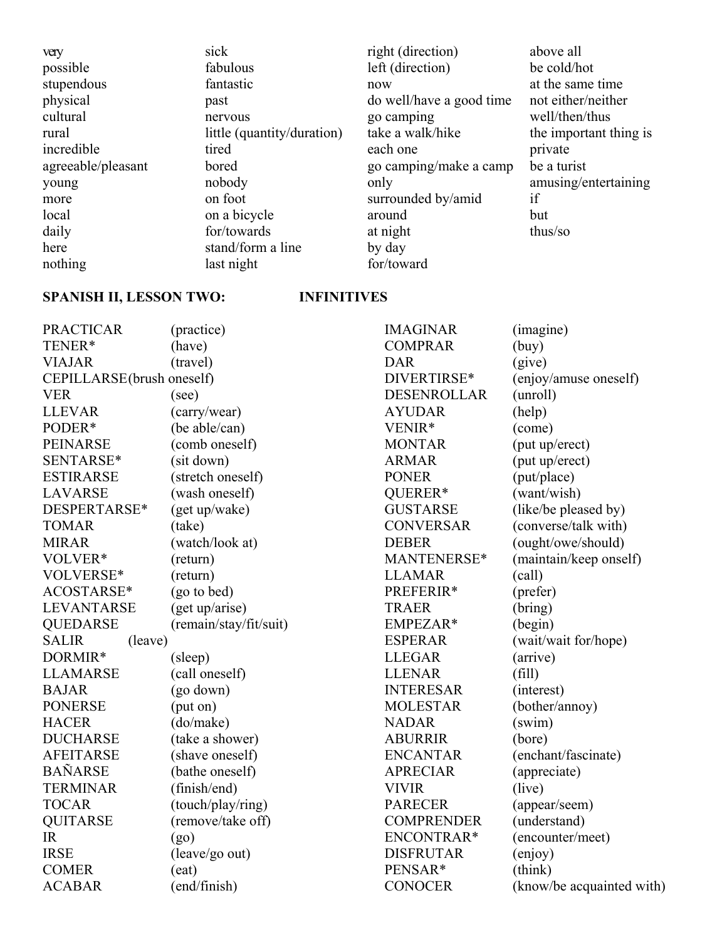| very               | sick                       | right (direction)        | above all              |
|--------------------|----------------------------|--------------------------|------------------------|
| possible           | fabulous                   | left (direction)         | be cold/hot            |
| stupendous         | fantastic                  | now                      | at the same time       |
| physical           | past                       | do well/have a good time | not either/neither     |
| cultural           | nervous                    | go camping               | well/then/thus         |
| rural              | little (quantity/duration) | take a walk/hike         | the important thing is |
| incredible         | tired                      | each one                 | private                |
| agreeable/pleasant | bored                      | go camping/make a camp   | be a turist            |
| young              | nobody                     | only                     | amusing/entertaining   |
| more               | on foot                    | surrounded by/amid       | if                     |
| local              | on a bicycle               | around                   | but                    |
| daily              | for/towards                | at night                 | thus/so                |
| here               | stand/form a line          | by day                   |                        |
| nothing            | last night                 | for/toward               |                        |

# **SPANISH II, LESSON TWO: INFINITIVES**

| <b>PRACTICAR</b><br>TENER*<br><b>VIAJAR</b> | (practice)<br>(have)<br>(travel) | <b>IMAGINAR</b><br><b>COMPRAR</b><br><b>DAR</b> | (imagine)<br>(buy)<br>(give) |
|---------------------------------------------|----------------------------------|-------------------------------------------------|------------------------------|
| CEPILLARSE(brush oneself)                   |                                  | DIVERTIRSE*                                     | (enjoy/amuse oneself)        |
| <b>VER</b>                                  | (see)                            | <b>DESENROLLAR</b>                              | (unroll)                     |
| <b>LLEVAR</b>                               | (carry/wear)                     | <b>AYUDAR</b>                                   | (help)                       |
| PODER*                                      | (be able/can)                    | VENIR*                                          | (come)                       |
| <b>PEINARSE</b>                             | (comb oneself)                   | <b>MONTAR</b>                                   | (put up/erect)               |
| SENTARSE*                                   | (sit down)                       | <b>ARMAR</b>                                    | (put up/erect)               |
| <b>ESTIRARSE</b>                            | (stretch oneself)                | <b>PONER</b>                                    | (put/place)                  |
| <b>LAVARSE</b>                              | (wash oneself)                   | QUERER*                                         | (want/wish)                  |
| DESPERTARSE*                                | (get up/wake)                    | <b>GUSTARSE</b>                                 | (like/be pleased by)         |
| <b>TOMAR</b>                                | (take)                           | <b>CONVERSAR</b>                                | (converse/talk with)         |
| <b>MIRAR</b>                                | (watch/look at)                  | <b>DEBER</b>                                    | (ought/owe/should)           |
| VOLVER*                                     | (return)                         | MANTENERSE*                                     | (maintain/keep onself)       |
| VOLVERSE*                                   | (return)                         | <b>LLAMAR</b>                                   | (call)                       |
| ACOSTARSE*                                  | (go to bed)                      | PREFERIR*                                       | (prefer)                     |
| <b>LEVANTARSE</b>                           | (get up/arise)                   | <b>TRAER</b>                                    | (bring)                      |
| <b>QUEDARSE</b>                             | (remain/stay/fit/suit)           | EMPEZAR*                                        | (begin)                      |
| <b>SALIR</b><br>(leave)                     |                                  | <b>ESPERAR</b>                                  | (wait/wait for/hope)         |
| DORMIR*                                     | (sleep)                          | <b>LLEGAR</b>                                   | (arrive)                     |
| <b>LLAMARSE</b>                             | (call oneself)                   | <b>LLENAR</b>                                   | (fill)                       |
| <b>BAJAR</b>                                | (go down)                        | <b>INTERESAR</b>                                | (interest)                   |
| <b>PONERSE</b>                              | (put on)                         | <b>MOLESTAR</b>                                 | (bother/annoy)               |
| <b>HACER</b>                                | (do/make)                        | <b>NADAR</b>                                    | (swin)                       |
| <b>DUCHARSE</b>                             | (take a shower)                  | <b>ABURRIR</b>                                  | (bore)                       |
| <b>AFEITARSE</b>                            | (shave oneself)                  | <b>ENCANTAR</b>                                 | (enchant/fascinate)          |
| <b>BAÑARSE</b>                              | (bathe oneself)                  | <b>APRECIAR</b>                                 | (appreciate)                 |
| <b>TERMINAR</b>                             | (finish/end)                     | <b>VIVIR</b>                                    | (live)                       |
| <b>TOCAR</b>                                | (touch/play/ring)                | <b>PARECER</b>                                  | (appear/seem)                |
| <b>QUITARSE</b>                             | (remove/take off)                | <b>COMPRENDER</b>                               | (understand)                 |
| <b>IR</b>                                   | (go)                             | ENCONTRAR*                                      | (encounter/meet)             |
| <b>IRSE</b>                                 | (leave/go out)                   | <b>DISFRUTAR</b>                                | (enjoy)                      |
| <b>COMER</b>                                | (eat)                            | PENSAR*                                         | (think)                      |
| <b>ACABAR</b>                               | (end/finish)                     | <b>CONOCER</b>                                  | (know/be acquainted with)    |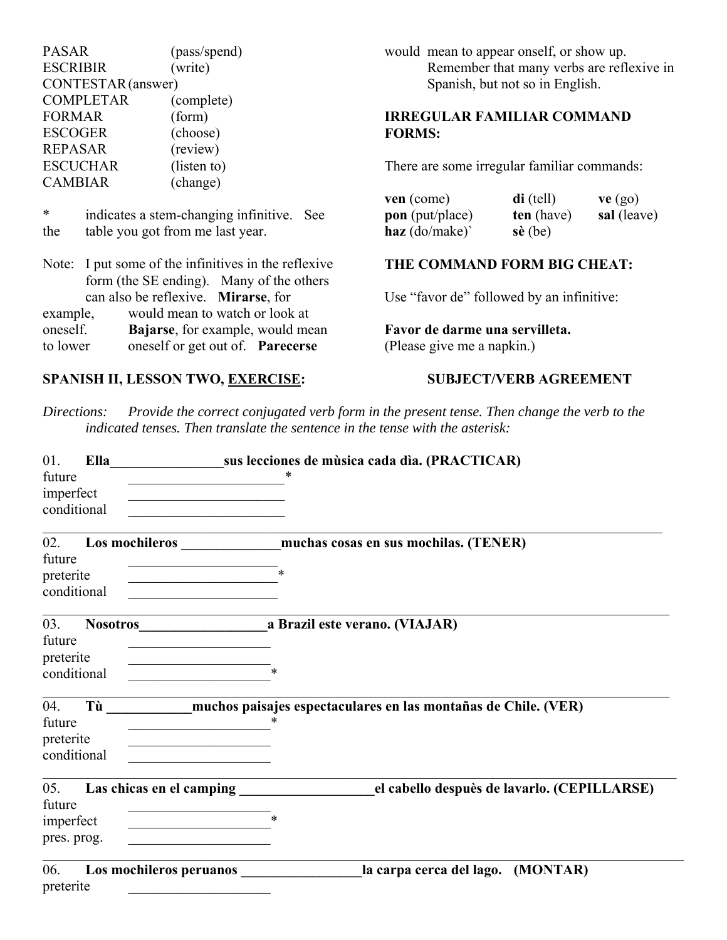PASAR (pass/spend) ESCRIBIR (write) CONTESTAR (answer) COMPLETAR (complete) FORMAR (form) ESCOGER (choose) REPASAR (review) ESCUCHAR (listen to) CAMBIAR (change)

\* indicates a stem-changing infinitive. See the table you got from me last year.

|          | Note: I put some of the infinitives in the reflexive |  |  |
|----------|------------------------------------------------------|--|--|
|          | form (the SE ending). Many of the others             |  |  |
|          | can also be reflexive. Mirarse, for                  |  |  |
| example, | would mean to watch or look at                       |  |  |
| oneself. | Bajarse, for example, would mean                     |  |  |
| to lower | oneself or get out of. Parecerse                     |  |  |

## SPANISH II, LESSON TWO, EXERCISE: SUBJECT/VERB AGREEMENT

would mean to appear onself, or show up. Remember that many verbs are reflexive in Spanish, but not so in English.

## **IRREGULAR FAMILIAR COMMAND FORMS:**

There are some irregular familiar commands:

| ven (come)             | $di$ (tell)       | ve (go)     |
|------------------------|-------------------|-------------|
| <b>pon</b> (put/place) | ten (have)        | sal (leave) |
| haz $\text{(do/make)}$ | $s\grave{e}$ (be) |             |

## **THE COMMAND FORM BIG CHEAT:**

Use "favor de" followed by an infinitive:

**Favor de darme una servilleta.** (Please give me a napkin.)

*Directions: Provide the correct conjugated verb form in the present tense. Then change the verb to the indicated tenses. Then translate the sentence in the tense with the asterisk:*

| 01.<br>future                             | Ella        |                          | sus lecciones de música cada día. (PRACTICAR)                     |
|-------------------------------------------|-------------|--------------------------|-------------------------------------------------------------------|
| imperfect                                 | conditional |                          |                                                                   |
| 02.<br>future<br>preterite                | conditional |                          | Los mochileros muchas cosas en sus mochilas. (TENER)<br>$\ast$    |
| 03.<br>future<br>preterite                | conditional |                          | Nosotros <b>a</b> Brazil este verano. (VIAJAR)                    |
| 04.<br>future<br>preterite                | conditional |                          | Tù muchos paisajes espectaculares en las montañas de Chile. (VER) |
| 05.<br>future<br>imperfect<br>pres. prog. |             | Las chicas en el camping | el cabello despuès de lavarlo. (CEPILLARSE)<br>$\ast$             |
| 06.<br>preterite                          |             | Los mochileros peruanos  | la carpa cerca del lago. (MONTAR)                                 |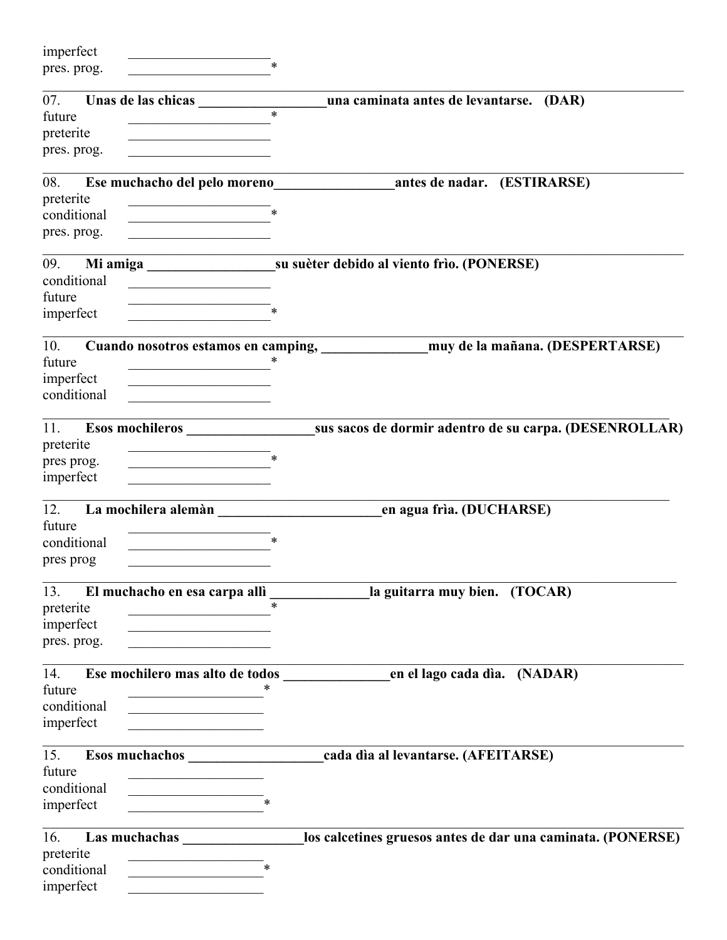| imperfect<br>pres. prog.                       | $\ast$                                                                          |                                                                                    |
|------------------------------------------------|---------------------------------------------------------------------------------|------------------------------------------------------------------------------------|
| 07.<br>future<br>preterite<br>pres. prog.      | $\ast$                                                                          | una caminata antes de levantarse. (DAR)                                            |
| 08.<br>preterite<br>conditional<br>pres. prog. |                                                                                 | Ese muchacho del pelo moreno antes de nadar. (ESTIRARSE)                           |
| 09.<br>conditional<br>future<br>imperfect      |                                                                                 |                                                                                    |
| 10.<br>future<br>imperfect<br>conditional      | $\ast$                                                                          | Cuando nosotros estamos en camping, ______________ muy de la mañana. (DESPERTARSE) |
| 11.<br>preterite<br>pres prog.<br>imperfect    | Esos mochileros <b>Esos mochileros</b><br>$\ast$                                | sus sacos de dormir adentro de su carpa. (DESENROLLAR)                             |
| 12.<br>future<br>conditional<br>pres prog      | $\ast$<br>the control of the control of the control of                          |                                                                                    |
| 13.<br>preterite<br>imperfect<br>pres. prog.   | El muchacho en esa carpa allì<br>$\ast$                                         | la guitarra muy bien. (TOCAR)                                                      |
| 14.<br>future<br>conditional<br>imperfect      | Ese mochilero mas alto de todos<br>the control of the control of the control of | en el lago cada día. (NADAR)                                                       |
| 15.<br>future<br>conditional<br>imperfect      |                                                                                 | cada dia al levantarse. (AFEITARSE)                                                |
| 16.<br>preterite<br>conditional<br>imperfect   | Las muchachas<br>$\ast$                                                         | los calcetines gruesos antes de dar una caminata. (PONERSE)                        |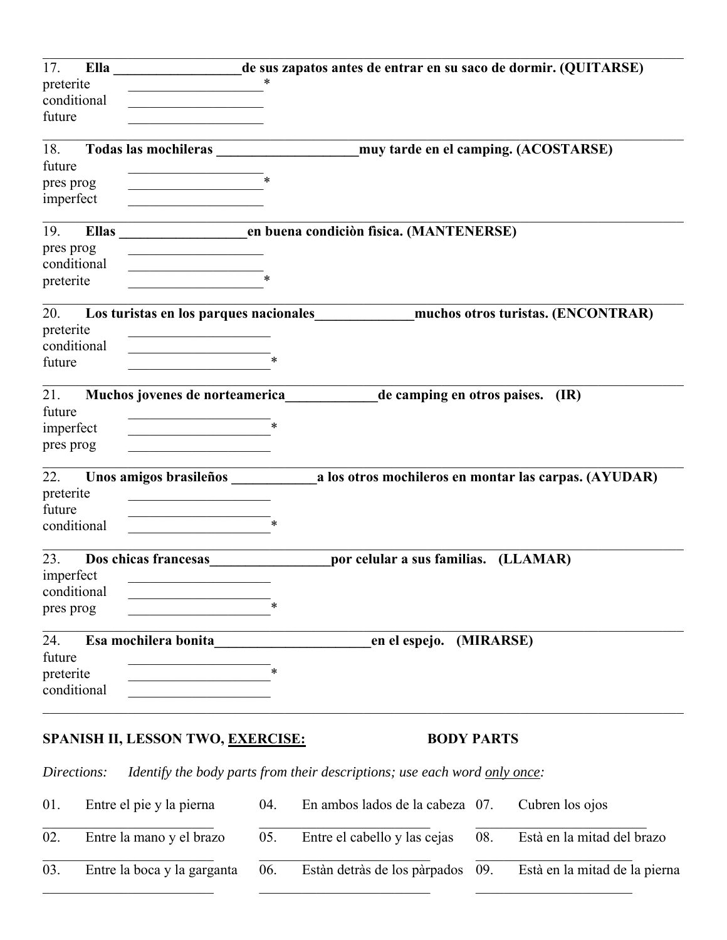| 17.         |                                                                                                                      | Ella ______________________de sus zapatos antes de entrar en su saco de dormir. (QUITARSE) |
|-------------|----------------------------------------------------------------------------------------------------------------------|--------------------------------------------------------------------------------------------|
| preterite   | $\ast$                                                                                                               |                                                                                            |
| conditional |                                                                                                                      |                                                                                            |
| future      |                                                                                                                      |                                                                                            |
|             |                                                                                                                      |                                                                                            |
| 18.         |                                                                                                                      |                                                                                            |
| future      |                                                                                                                      |                                                                                            |
| pres prog   | $\ast$                                                                                                               |                                                                                            |
| imperfect   |                                                                                                                      |                                                                                            |
| 19.         |                                                                                                                      |                                                                                            |
| pres prog   | <u> 1989 - Johann Barn, mars eta bainar eta industrial eta erromania eta erromania eta erromania eta erromania e</u> |                                                                                            |
| conditional |                                                                                                                      |                                                                                            |
| preterite   |                                                                                                                      |                                                                                            |
|             |                                                                                                                      |                                                                                            |
| 20.         |                                                                                                                      | Los turistas en los parques nacionales muchos otros turistas. (ENCONTRAR)                  |
| preterite   | <u> 1990 - Johann Barn, mars an t-Amerikaansk politiker (</u>                                                        |                                                                                            |
| conditional |                                                                                                                      |                                                                                            |
| future      |                                                                                                                      |                                                                                            |
|             |                                                                                                                      |                                                                                            |
| 21.         |                                                                                                                      | Muchos jovenes de norteamerica de camping en otros paises. (IR)                            |
| future      |                                                                                                                      |                                                                                            |
| imperfect   |                                                                                                                      |                                                                                            |
| pres prog   |                                                                                                                      |                                                                                            |
| 22.         |                                                                                                                      |                                                                                            |
| preterite   |                                                                                                                      |                                                                                            |
| future      | the control of the control of the control of                                                                         |                                                                                            |
| conditional |                                                                                                                      |                                                                                            |
|             |                                                                                                                      |                                                                                            |
| 23.         | Dos chicas francesas                                                                                                 | por celular a sus familias. (LLAMAR)                                                       |
| imperfect   |                                                                                                                      |                                                                                            |
| conditional |                                                                                                                      |                                                                                            |
| pres prog   |                                                                                                                      |                                                                                            |
|             |                                                                                                                      |                                                                                            |
| 24.         | Esa mochilera bonita                                                                                                 | en el espejo. (MIRARSE)                                                                    |
| future      |                                                                                                                      |                                                                                            |
| preterite   |                                                                                                                      |                                                                                            |
| conditional |                                                                                                                      |                                                                                            |
|             |                                                                                                                      |                                                                                            |
|             |                                                                                                                      |                                                                                            |

# **SPANISH II, LESSON TWO, <u>EXERCISE:</u> BODY PARTS**

*Directions: Identify the body parts from their descriptions; use each word only once:*

| 01. | Entre el pie y la pierna    | 04. | En ambos lados de la cabeza 07. Cubren los ojos |                                |
|-----|-----------------------------|-----|-------------------------------------------------|--------------------------------|
| 02. | Entre la mano y el brazo    |     | 05. Entre el cabello y las cejas                | 08. Està en la mitad del brazo |
| 03. | Entre la boca y la garganta | 06. | Estàn detràs de los pàrpados 09.                | Està en la mitad de la pierna  |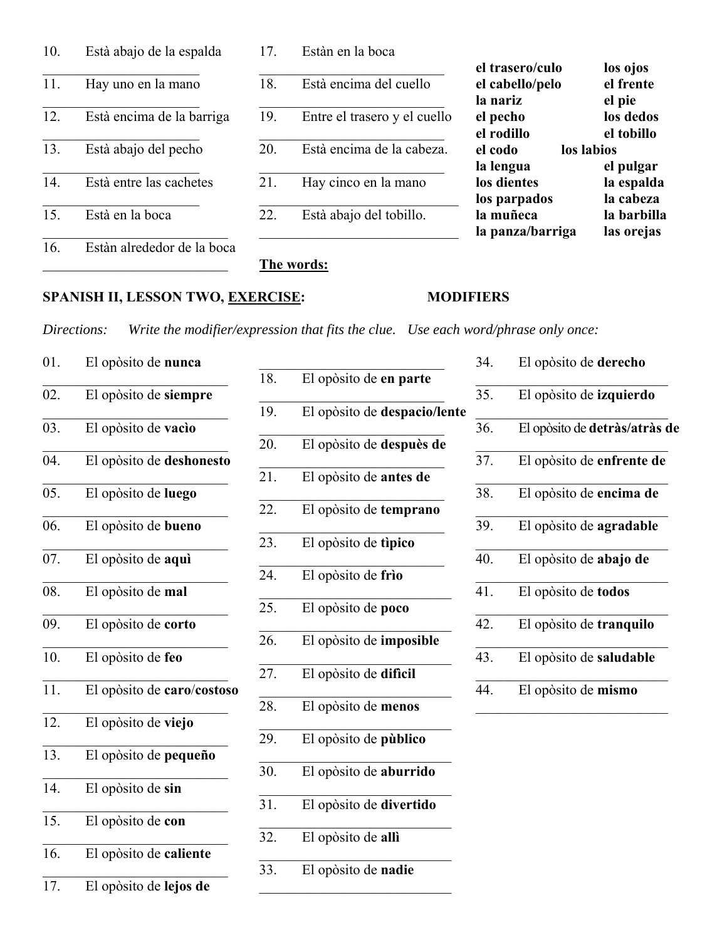| 10. | Està abajo de la espalda   | 17. | Estàn en la boca             |                               |                           |
|-----|----------------------------|-----|------------------------------|-------------------------------|---------------------------|
|     |                            |     |                              | el trasero/culo               | los ojos                  |
| 11. | Hay uno en la mano         | 18. | Està encima del cuello       | el cabello/pelo<br>la nariz   | el frente<br>el pie       |
| 12. | Està encima de la barriga  | 19. | Entre el trasero y el cuello | el pecho<br>el rodillo        | los dedos<br>el tobillo   |
| 13. | Està abajo del pecho       | 20. | Està encima de la cabeza.    | el codo<br>la lengua          | los labios<br>el pulgar   |
| 14. | Està entre las cachetes    | 21. | Hay cinco en la mano         | los dientes<br>los parpados   | la espalda<br>la cabeza   |
| 15. | Està en la boca            | 22. | Està abajo del tobillo.      | la muñeca<br>la panza/barriga | la barbilla<br>las orejas |
| 16. | Estàn alrededor de la boca |     | The words:                   |                               |                           |

## **SPANISH II, LESSON TWO, EXERCISE: MODIFIERS**

*Directions: Write the modifier/expression that fits the clue. Use each word/phrase only once:*

01. El opòsito de **nunca** 02. El opòsito de **siempre** 03. El opòsito de **vacìo** 04. El opòsito de **deshonesto** 05. El opòsito de **luego** 06. El opòsito de **bueno** 07. El opòsito de **aquì**  $\frac{1}{2}$  ,  $\frac{1}{2}$  ,  $\frac{1}{2}$  ,  $\frac{1}{2}$  ,  $\frac{1}{2}$  ,  $\frac{1}{2}$  ,  $\frac{1}{2}$  ,  $\frac{1}{2}$  ,  $\frac{1}{2}$  ,  $\frac{1}{2}$  ,  $\frac{1}{2}$  ,  $\frac{1}{2}$  ,  $\frac{1}{2}$ 08. El opòsito de **mal** 09. El opòsito de **corto** 10. El opòsito de **feo** 11. El opòsito de **caro**/**costoso** 12. El opòsito de **viejo**  $\frac{1}{2}$  ,  $\frac{1}{2}$  ,  $\frac{1}{2}$  ,  $\frac{1}{2}$  ,  $\frac{1}{2}$  ,  $\frac{1}{2}$  ,  $\frac{1}{2}$  ,  $\frac{1}{2}$  ,  $\frac{1}{2}$  ,  $\frac{1}{2}$  ,  $\frac{1}{2}$  ,  $\frac{1}{2}$  ,  $\frac{1}{2}$ 13. El opòsito de **pequeño** 14. El opòsito de **sin** 15. El opòsito de **con** 16. El opòsito de **caliente** 17. El opòsito de **lejos de**

| 18. | El opòsito de en parte       |
|-----|------------------------------|
| 19. | El opòsito de despacio/lente |
| 20. | El opòsito de despuès de     |
| 21. | El opòsito de antes de       |
| 22. | El opòsito de temprano       |
| 23. | El opòsito de tipico         |
| 24. | El opòsito de frìo           |
| 25. | El opòsito de poco           |
| 26. | El opòsito de imposible      |
| 27. | El opòsito de dificil        |
| 28. | El opòsito de menos          |
| 29. | El opòsito de pùblico        |
| 30. | El opòsito de aburrido       |
| 31. | El opòsito de divertido      |
| 32. | El opòsito de allì           |
| 33. | El opòsito de nadie          |

| 34. | El opòsito de derecho         |
|-----|-------------------------------|
| 35. | El opòsito de izquierdo       |
| 36. | El opòsito de detràs/atràs de |
| 37. | El opòsito de enfrente de     |
| 38. | El opòsito de encima de       |
| 39. | El opòsito de agradable       |
| 40. | El opòsito de abajo de        |
| 41. | El opòsito de todos           |
| 42. | El opòsito de tranquilo       |
| 43. | El opòsito de saludable       |
| 44. | El opòsito de mismo           |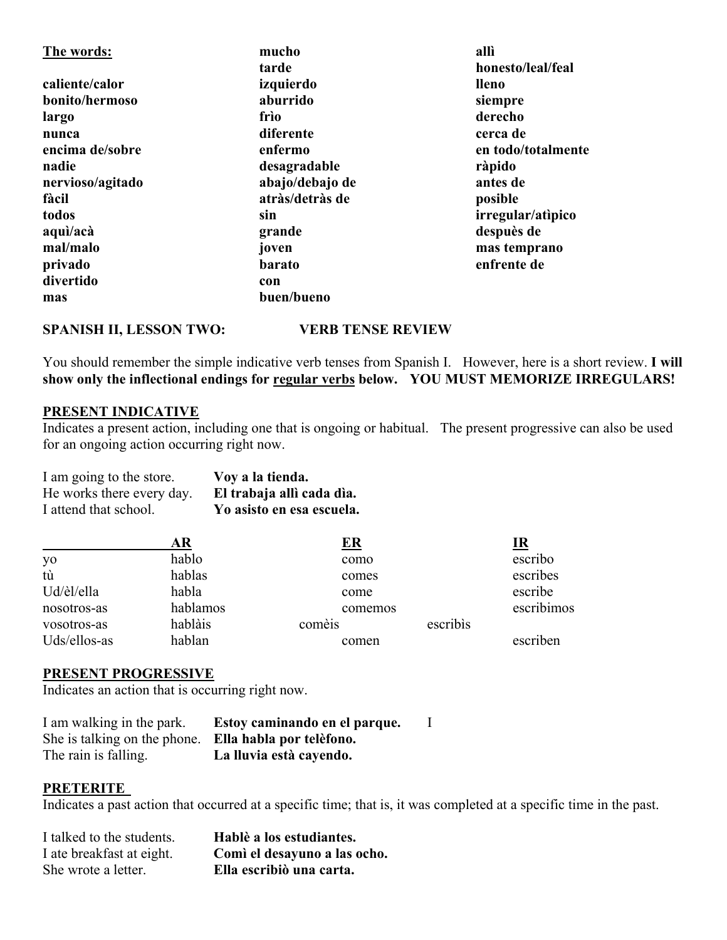| The words:       | mucho           | allì               |
|------------------|-----------------|--------------------|
|                  | tarde           | honesto/leal/feal  |
| caliente/calor   | izquierdo       | <b>lleno</b>       |
| bonito/hermoso   | aburrido        | siempre            |
| largo            | frìo            | derecho            |
| nunca            | diferente       | cerca de           |
| encima de/sobre  | enfermo         | en todo/totalmente |
| nadie            | desagradable    | ràpido             |
| nervioso/agitado | abajo/debajo de | antes de           |
| fàcil            | atràs/detràs de | posible            |
| todos            | sin             | irregular/atipico  |
| aquì/acà         | grande          | despuès de         |
| mal/malo         | joven           | mas temprano       |
| privado          | <b>barato</b>   | enfrente de        |
| divertido        | con             |                    |
| mas              | buen/bueno      |                    |

### **SPANISH II, LESSON TWO: VERB TENSE REVIEW**

You should remember the simple indicative verb tenses from Spanish I. However, here is a short review. **I will show only the inflectional endings for regular verbs below. YOU MUST MEMORIZE IRREGULARS!**

### **PRESENT INDICATIVE**

Indicates a present action, including one that is ongoing or habitual. The present progressive can also be used for an ongoing action occurring right now.

| I am going to the store.  | Voy a la tienda.          |
|---------------------------|---------------------------|
| He works there every day. | El trabaja allì cada dìa. |
| I attend that school.     | Yo asisto en esa escuela. |

|              | AR       | <u>ER</u> |          | <u>IR</u>  |
|--------------|----------|-----------|----------|------------|
| yo           | hablo    | como      |          | escribo    |
| tù           | hablas   | comes     |          | escribes   |
| Ud/èl/ella   | habla    | come      |          | escribe    |
| nosotros-as  | hablamos | comemos   |          | escribimos |
| vosotros-as  | hablàis  | comèis    | escribis |            |
| Uds/ellos-as | hablan   | comen     |          | escriben   |

### **PRESENT PROGRESSIVE**

Indicates an action that is occurring right now.

| I am walking in the park.                             | Estoy caminando en el parque. |  |
|-------------------------------------------------------|-------------------------------|--|
| She is talking on the phone. Ella habla por telefono. |                               |  |
| The rain is falling.                                  | La lluvia està cayendo.       |  |

### **PRETERITE**

Indicates a past action that occurred at a specific time; that is, it was completed at a specific time in the past.

| I talked to the students. | Hablè a los estudiantes.     |
|---------------------------|------------------------------|
| I ate breakfast at eight. | Comì el desayuno a las ocho. |
| She wrote a letter.       | Ella escribiò una carta.     |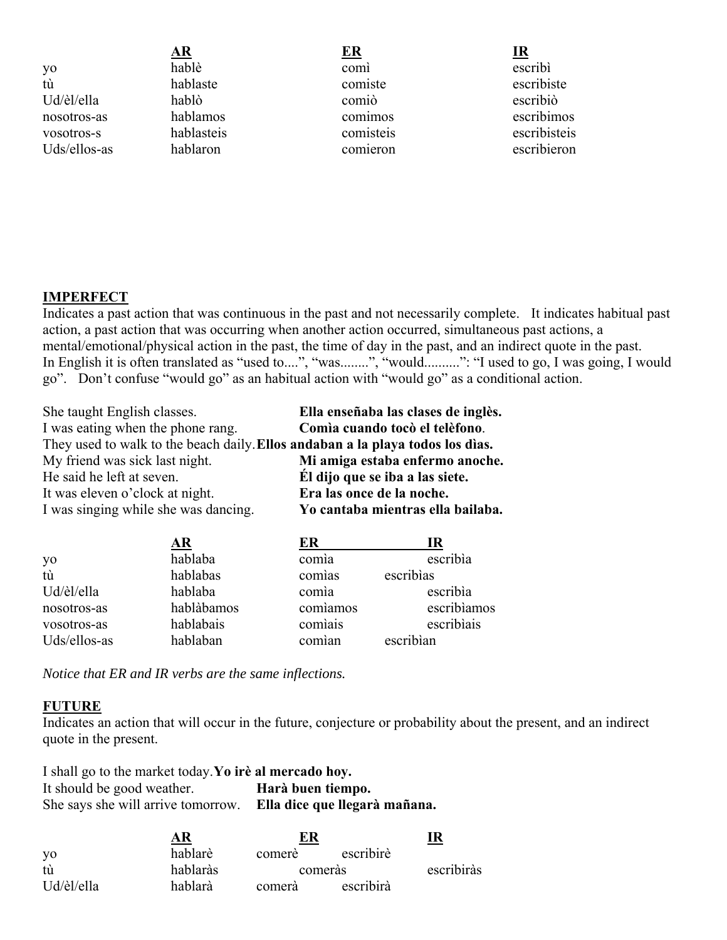**AR ER IR** yo hablè comì escribì tù hablaste comiste escribiste Ud/èl/ella hablò comiò escribiò nosotros-as hablamos comimos escribimos vosotros-s hablasteis comisteis escribisteis Uds/ellos-as hablaron comieron escribieron

## **IMPERFECT**

Indicates a past action that was continuous in the past and not necessarily complete. It indicates habitual past action, a past action that was occurring when another action occurred, simultaneous past actions, a mental/emotional/physical action in the past, the time of day in the past, and an indirect quote in the past. In English it is often translated as "used to....", "was........", "would..........": "I used to go, I was going, I would go". Don't confuse "would go" as an habitual action with "would go" as a conditional action.

| She taught English classes.                                                     | Ella enseñaba las clases de inglès. |
|---------------------------------------------------------------------------------|-------------------------------------|
| I was eating when the phone rang.                                               | Comia cuando tocò el telèfono.      |
| They used to walk to the beach daily. Ellos and aban a la playa todos los dias. |                                     |
| My friend was sick last night.                                                  | Mi amiga estaba enfermo anoche.     |
| He said he left at seven.                                                       | Él dijo que se iba a las siete.     |
| It was eleven o'clock at night.                                                 | Era las once de la noche.           |
| I was singing while she was dancing.                                            | Yo cantaba mientras ella bailaba.   |

|              | AR         | ER       | ıк          |
|--------------|------------|----------|-------------|
| yo           | hablaba    | comia    | escribia    |
| tù           | hablabas   | comias   | escribias   |
| Ud/èl/ella   | hablaba    | comia    | escribia    |
| nosotros-as  | hablàbamos | comiamos | escribiamos |
| vosotros-as  | hablabais  | comiais  | escribiais  |
| Uds/ellos-as | hablaban   | comian   | escribian   |

*Notice that ER and IR verbs are the same inflections.*

### **FUTURE**

Indicates an action that will occur in the future, conjecture or probability about the present, and an indirect quote in the present.

| I shall go to the market today. Yo ire al mercado hoy. |                               |
|--------------------------------------------------------|-------------------------------|
| It should be good weather.                             | Harà buen tiempo.             |
| She says she will arrive tomorrow.                     | Ella dice que llegarà mañana. |

|            | AR       | ER     |           | I R        |
|------------|----------|--------|-----------|------------|
| yo         | hablarè  | comerè | escribire |            |
| tù         | hablaràs |        | comerás   | escribiràs |
| Ud/èl/ella | hablarà  | comerà | escribirà |            |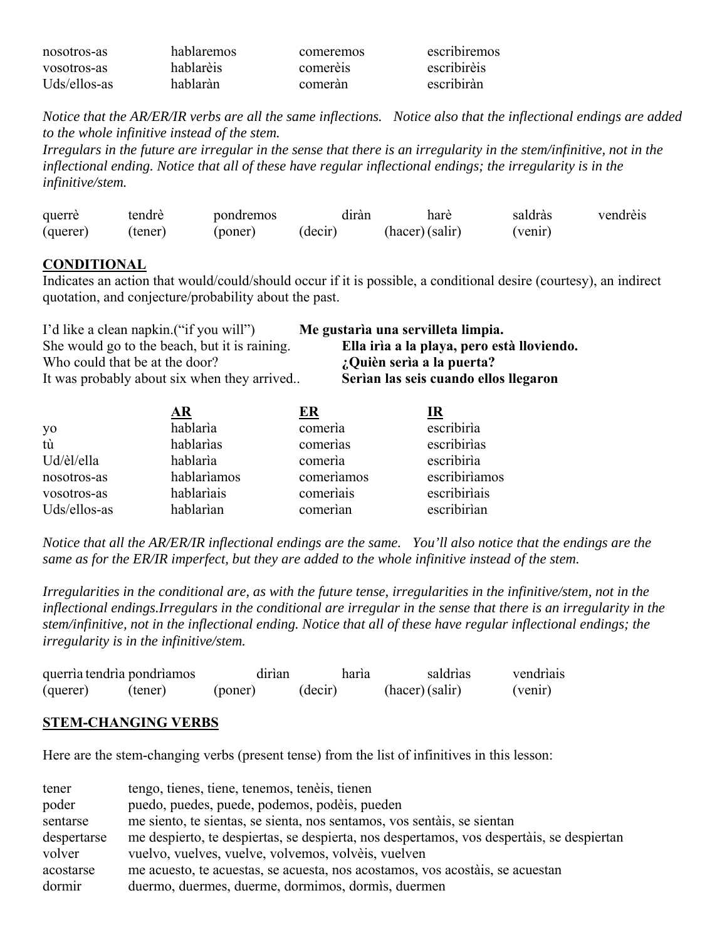| nosotros-as  | hablaremos | comeremos | escribiremos |
|--------------|------------|-----------|--------------|
| vosotros-as  | hablarèis  | comerèis  | escribirèis  |
| Uds/ellos-as | hablaràn   | comeràn   | escribiràn   |

*Notice that the AR/ER/IR verbs are all the same inflections. Notice also that the inflectional endings are added to the whole infinitive instead of the stem.*

*Irregulars in the future are irregular in the sense that there is an irregularity in the stem/infinitive, not in the inflectional ending. Notice that all of these have regular inflectional endings; the irregularity is in the infinitive/stem.*

| querre   | tendrè  | pondremos | dıran   | hare            | saldràs | vendrèis |
|----------|---------|-----------|---------|-----------------|---------|----------|
| (querer) | (tener) | (poner)   | (decir) | (hacer) (salir) | (venir) |          |

### **CONDITIONAL**

Indicates an action that would/could/should occur if it is possible, a conditional desire (courtesy), an indirect quotation, and conjecture/probability about the past.

| I'd like a clean napkin. ("if you will")      | Me gustaria una servilleta limpia.         |
|-----------------------------------------------|--------------------------------------------|
| She would go to the beach, but it is raining. | Ella irìa a la playa, pero està lloviendo. |
| Who could that be at the door?                | ¿Quièn sería a la puerta?                  |
| It was probably about six when they arrived   | Serian las seis cuando ellos llegaron      |

|              | ${\bf AR}$  | ER         | IR            |
|--------------|-------------|------------|---------------|
| yo           | hablaria    | comería    | escribiria    |
| tù           | hablarias   | comerias   | escribirias   |
| Ud/èl/ella   | hablaria    | comeria    | escribiria    |
| nosotros-as  | hablariamos | comeriamos | escribiriamos |
| vosotros-as  | hablariais  | comeriais  | escribiriais  |
| Uds/ellos-as | hablarian   | comerian   | escribirìan   |

*Notice that all the AR/ER/IR inflectional endings are the same. You'll also notice that the endings are the same as for the ER/IR imperfect, but they are added to the whole infinitive instead of the stem.*

*Irregularities in the conditional are, as with the future tense, irregularities in the infinitive/stem, not in the inflectional endings.Irregulars in the conditional are irregular in the sense that there is an irregularity in the stem/infinitive, not in the inflectional ending. Notice that all of these have regular inflectional endings; the irregularity is in the infinitive/stem.*

| querría tendría pondríamos |         | dirian  | haria   | saldrias       | vendriais |
|----------------------------|---------|---------|---------|----------------|-----------|
| (querer)                   | (tener) | (poner) | (decir) | (hacer)(salir) | (venir)   |

### **STEM-CHANGING VERBS**

Here are the stem-changing verbs (present tense) from the list of infinitives in this lesson:

| tener       | tengo, tienes, tiene, tenemos, tenèis, tienen                                             |
|-------------|-------------------------------------------------------------------------------------------|
| poder       | puedo, puedes, puede, podemos, podèis, pueden                                             |
| sentarse    | me siento, te sientas, se sienta, nos sentamos, vos sentais, se sientan                   |
| despertarse | me despierto, te despiertas, se despierta, nos despertamos, vos despertais, se despiertan |
| volver      | vuelvo, vuelves, vuelve, volvemos, volvèis, vuelven                                       |
| acostarse   | me acuesto, te acuestas, se acuesta, nos acostamos, vos acostáis, se acuestan             |
| dormir      | duermo, duermes, duerme, dormimos, dormis, duermen                                        |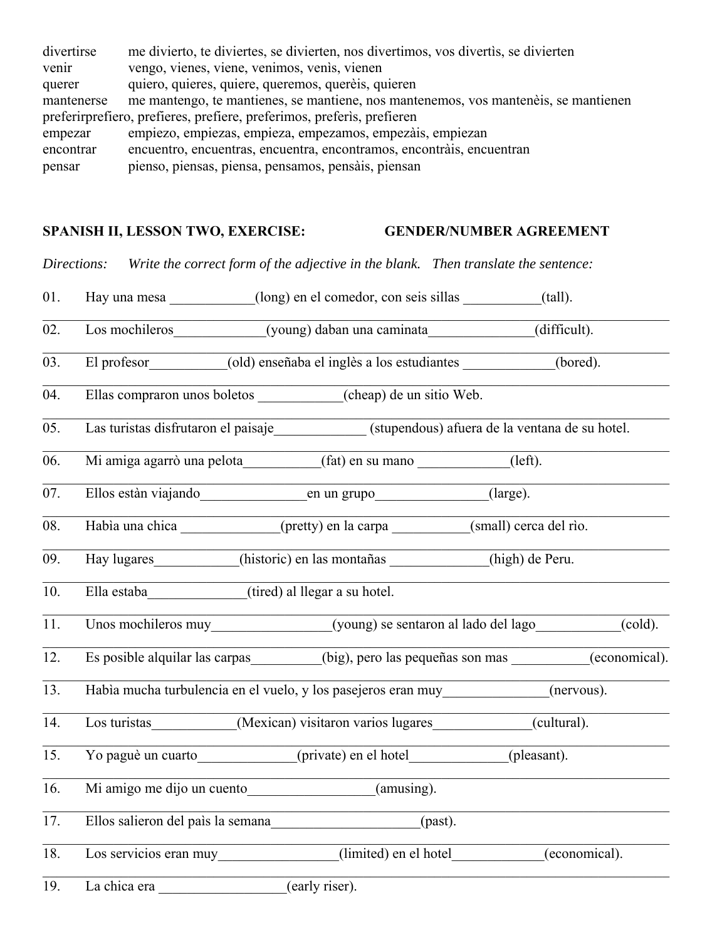| divertirse                                                             | me divierto, te diviertes, se divierten, nos divertimos, vos divertis, se divierten |  |  |  |
|------------------------------------------------------------------------|-------------------------------------------------------------------------------------|--|--|--|
| venir                                                                  | vengo, vienes, viene, venimos, venis, vienen                                        |  |  |  |
| querer                                                                 | quiero, quieres, quiere, queremos, querèis, quieren                                 |  |  |  |
| mantenerse                                                             | me mantengo, te mantienes, se mantiene, nos mantenemos, vos manteneis, se mantienen |  |  |  |
| preferirprefiero, prefieres, prefiere, preferimos, preferis, prefieren |                                                                                     |  |  |  |
| empezar                                                                | empiezo, empiezas, empieza, empezamos, empezais, empiezan                           |  |  |  |
| encontrar                                                              | encuentro, encuentras, encuentra, encontramos, encontrais, encuentran               |  |  |  |
| pensar                                                                 | pienso, piensas, piensa, pensamos, pensais, piensan                                 |  |  |  |
|                                                                        |                                                                                     |  |  |  |

# SPANISH II, LESSON TWO, EXERCISE: **GENDER/NUMBER AGREEMENT**

|     | Directions:                                                                                                                                                                                                                    | Write the correct form of the adjective in the blank. Then translate the sentence: |         |               |                               |
|-----|--------------------------------------------------------------------------------------------------------------------------------------------------------------------------------------------------------------------------------|------------------------------------------------------------------------------------|---------|---------------|-------------------------------|
| 01. | Hay una mesa __________(long) en el comedor, con seis sillas ________(tall).                                                                                                                                                   |                                                                                    |         |               |                               |
| 02. | Los mochileros (young) daban una caminata                                                                                                                                                                                      |                                                                                    |         | (difficult).  |                               |
| 03. | El profesor (old) enseñaba el inglès a los estudiantes (bored).                                                                                                                                                                |                                                                                    |         |               |                               |
| 04. | Ellas compraron unos boletos __________(cheap) de un sitio Web.                                                                                                                                                                |                                                                                    |         |               |                               |
| 05. | Las turistas disfrutaron el paisaje________________(stupendous) afuera de la ventana de su hotel.                                                                                                                              |                                                                                    |         |               |                               |
| 06. | Mi amiga agarrò una pelota (fat) en su mano (left).                                                                                                                                                                            |                                                                                    |         |               |                               |
| 07. | Ellos estàn viajando<br>en un grupo<br>(large).                                                                                                                                                                                |                                                                                    |         |               |                               |
| 08. | Habia una chica (pretty) en la carpa (small) cerca del rio.                                                                                                                                                                    |                                                                                    |         |               |                               |
| 09. | Hay lugares__________(historic) en las montañas __________(high) de Peru.                                                                                                                                                      |                                                                                    |         |               |                               |
| 10. | Ella estaba (tired) al llegar a su hotel.                                                                                                                                                                                      |                                                                                    |         |               |                               |
| 11. | Unos mochileros muy<br>(young) se sentaron al lado del lago                                                                                                                                                                    |                                                                                    |         |               | $\left( \text{cold}\right)$ . |
| 12. | Es posible alquilar las carpas _______(big), pero las pequeñas son mas _______(economical).                                                                                                                                    |                                                                                    |         |               |                               |
| 13. | Habìa mucha turbulencia en el vuelo, y los pasejeros eran muy _____________(nervous).                                                                                                                                          |                                                                                    |         |               |                               |
| 14. | Los turistas ____________(Mexican) visitaron varios lugares ___________(cultural).                                                                                                                                             |                                                                                    |         |               |                               |
| 15. | Yo paguè un cuarto (private) en el hotel (pleasant).                                                                                                                                                                           |                                                                                    |         |               |                               |
| 16. | Mi amigo me dijo un cuento ____________________(amusing).                                                                                                                                                                      |                                                                                    |         |               |                               |
| 17. | Ellos salieron del paìs la semana                                                                                                                                                                                              |                                                                                    | (past). |               |                               |
| 18. | Los servicios eran muy                                                                                                                                                                                                         | (limited) en el hotel                                                              |         | (economical). |                               |
| 19. | La chica era que establecen en la chica era del poste del poste del poste del control de la chica del control del control de la chica de la chica del control de la chica de la chica de la chica del control de la chica de l | (early riser).                                                                     |         |               |                               |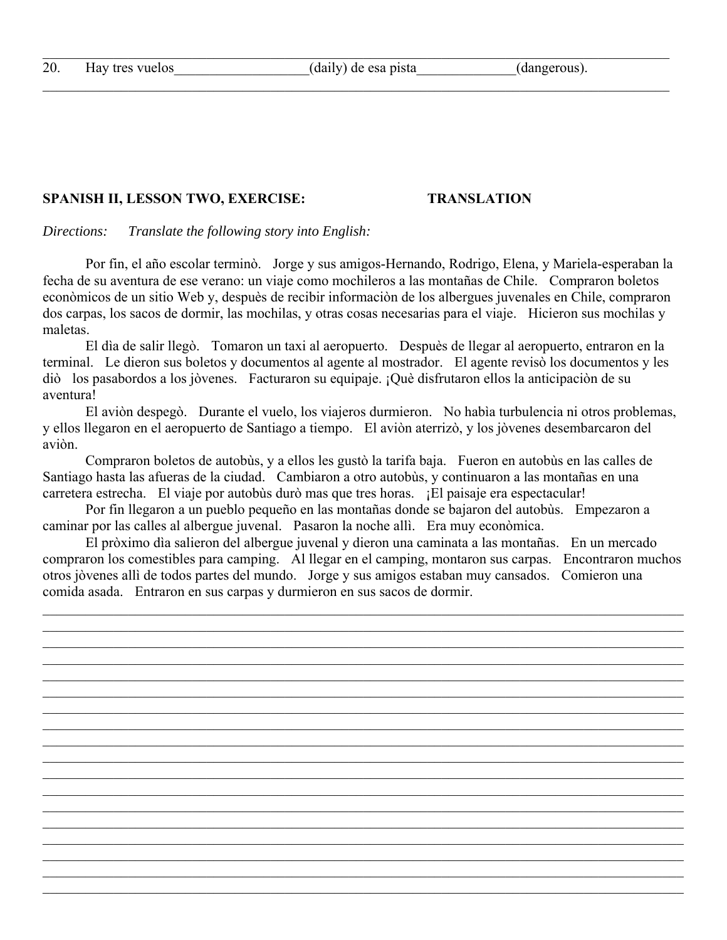### SPANISH II, LESSON TWO, EXERCISE: TRANSLATION

*Directions: Translate the following story into English:*

 Por fin, el año escolar terminò. Jorge y sus amigos-Hernando, Rodrigo, Elena, y Mariela-esperaban la fecha de su aventura de ese verano: un viaje como mochileros a las montañas de Chile. Compraron boletos econòmicos de un sitio Web y, despuès de recibir informaciòn de los albergues juvenales en Chile, compraron dos carpas, los sacos de dormir, las mochilas, y otras cosas necesarias para el viaje. Hicieron sus mochilas y maletas.

 El dìa de salir llegò. Tomaron un taxi al aeropuerto. Despuès de llegar al aeropuerto, entraron en la terminal. Le dieron sus boletos y documentos al agente al mostrador. El agente revisò los documentos y les diò los pasabordos a los jòvenes. Facturaron su equipaje. ¡Què disfrutaron ellos la anticipaciòn de su aventura!

 El aviòn despegò. Durante el vuelo, los viajeros durmieron. No habìa turbulencia ni otros problemas, y ellos llegaron en el aeropuerto de Santiago a tiempo. El aviòn aterrizò, y los jòvenes desembarcaron del aviòn.

 Compraron boletos de autobùs, y a ellos les gustò la tarifa baja. Fueron en autobùs en las calles de Santiago hasta las afueras de la ciudad. Cambiaron a otro autobùs, y continuaron a las montañas en una carretera estrecha. El viaje por autobùs durò mas que tres horas. ¡El paisaje era espectacular!

 Por fin llegaron a un pueblo pequeño en las montañas donde se bajaron del autobùs. Empezaron a caminar por las calles al albergue juvenal. Pasaron la noche allì. Era muy econòmica.

 El pròximo dìa salieron del albergue juvenal y dieron una caminata a las montañas. En un mercado compraron los comestibles para camping. Al llegar en el camping, montaron sus carpas. Encontraron muchos otros jòvenes allì de todos partes del mundo. Jorge y sus amigos estaban muy cansados. Comieron una comida asada. Entraron en sus carpas y durmieron en sus sacos de dormir.

 $\mathcal{L}_\mathcal{L} = \mathcal{L}_\mathcal{L} = \mathcal{L}_\mathcal{L} = \mathcal{L}_\mathcal{L} = \mathcal{L}_\mathcal{L} = \mathcal{L}_\mathcal{L} = \mathcal{L}_\mathcal{L} = \mathcal{L}_\mathcal{L} = \mathcal{L}_\mathcal{L} = \mathcal{L}_\mathcal{L} = \mathcal{L}_\mathcal{L} = \mathcal{L}_\mathcal{L} = \mathcal{L}_\mathcal{L} = \mathcal{L}_\mathcal{L} = \mathcal{L}_\mathcal{L} = \mathcal{L}_\mathcal{L} = \mathcal{L}_\mathcal{L}$ 

 $\mathcal{L}_\mathcal{L} = \mathcal{L}_\mathcal{L} = \mathcal{L}_\mathcal{L} = \mathcal{L}_\mathcal{L} = \mathcal{L}_\mathcal{L} = \mathcal{L}_\mathcal{L} = \mathcal{L}_\mathcal{L} = \mathcal{L}_\mathcal{L} = \mathcal{L}_\mathcal{L} = \mathcal{L}_\mathcal{L} = \mathcal{L}_\mathcal{L} = \mathcal{L}_\mathcal{L} = \mathcal{L}_\mathcal{L} = \mathcal{L}_\mathcal{L} = \mathcal{L}_\mathcal{L} = \mathcal{L}_\mathcal{L} = \mathcal{L}_\mathcal{L}$ 

 $\mathcal{L}_\mathcal{L} = \mathcal{L}_\mathcal{L} = \mathcal{L}_\mathcal{L} = \mathcal{L}_\mathcal{L} = \mathcal{L}_\mathcal{L} = \mathcal{L}_\mathcal{L} = \mathcal{L}_\mathcal{L} = \mathcal{L}_\mathcal{L} = \mathcal{L}_\mathcal{L} = \mathcal{L}_\mathcal{L} = \mathcal{L}_\mathcal{L} = \mathcal{L}_\mathcal{L} = \mathcal{L}_\mathcal{L} = \mathcal{L}_\mathcal{L} = \mathcal{L}_\mathcal{L} = \mathcal{L}_\mathcal{L} = \mathcal{L}_\mathcal{L}$